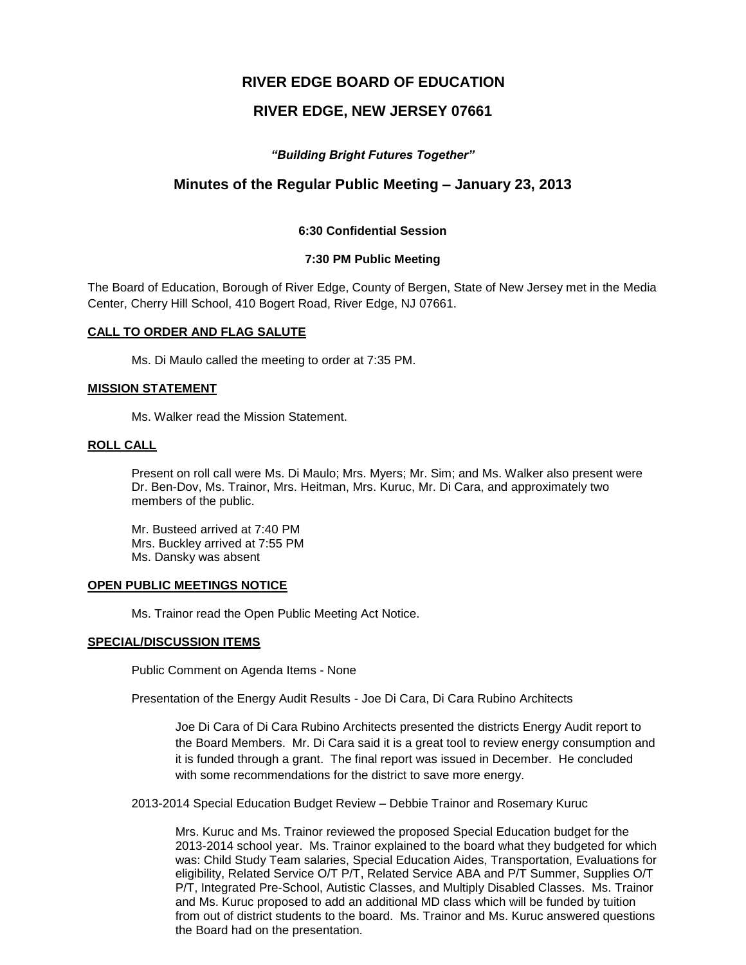# **RIVER EDGE BOARD OF EDUCATION**

# **RIVER EDGE, NEW JERSEY 07661**

# *"Building Bright Futures Together"*

# **Minutes of the Regular Public Meeting – January 23, 2013**

# **6:30 Confidential Session**

### **7:30 PM Public Meeting**

The Board of Education, Borough of River Edge, County of Bergen, State of New Jersey met in the Media Center, Cherry Hill School, 410 Bogert Road, River Edge, NJ 07661.

### **CALL TO ORDER AND FLAG SALUTE**

Ms. Di Maulo called the meeting to order at 7:35 PM.

### **MISSION STATEMENT**

Ms. Walker read the Mission Statement.

#### **ROLL CALL**

Present on roll call were Ms. Di Maulo; Mrs. Myers; Mr. Sim; and Ms. Walker also present were Dr. Ben-Dov, Ms. Trainor, Mrs. Heitman, Mrs. Kuruc, Mr. Di Cara, and approximately two members of the public.

Mr. Busteed arrived at 7:40 PM Mrs. Buckley arrived at 7:55 PM Ms. Dansky was absent

### **OPEN PUBLIC MEETINGS NOTICE**

Ms. Trainor read the Open Public Meeting Act Notice.

### **SPECIAL/DISCUSSION ITEMS**

Public Comment on Agenda Items - None

Presentation of the Energy Audit Results - Joe Di Cara, Di Cara Rubino Architects

Joe Di Cara of Di Cara Rubino Architects presented the districts Energy Audit report to the Board Members. Mr. Di Cara said it is a great tool to review energy consumption and it is funded through a grant. The final report was issued in December. He concluded with some recommendations for the district to save more energy.

2013-2014 Special Education Budget Review – Debbie Trainor and Rosemary Kuruc

Mrs. Kuruc and Ms. Trainor reviewed the proposed Special Education budget for the 2013-2014 school year. Ms. Trainor explained to the board what they budgeted for which was: Child Study Team salaries, Special Education Aides, Transportation, Evaluations for eligibility, Related Service O/T P/T, Related Service ABA and P/T Summer, Supplies O/T P/T, Integrated Pre-School, Autistic Classes, and Multiply Disabled Classes. Ms. Trainor and Ms. Kuruc proposed to add an additional MD class which will be funded by tuition from out of district students to the board. Ms. Trainor and Ms. Kuruc answered questions the Board had on the presentation.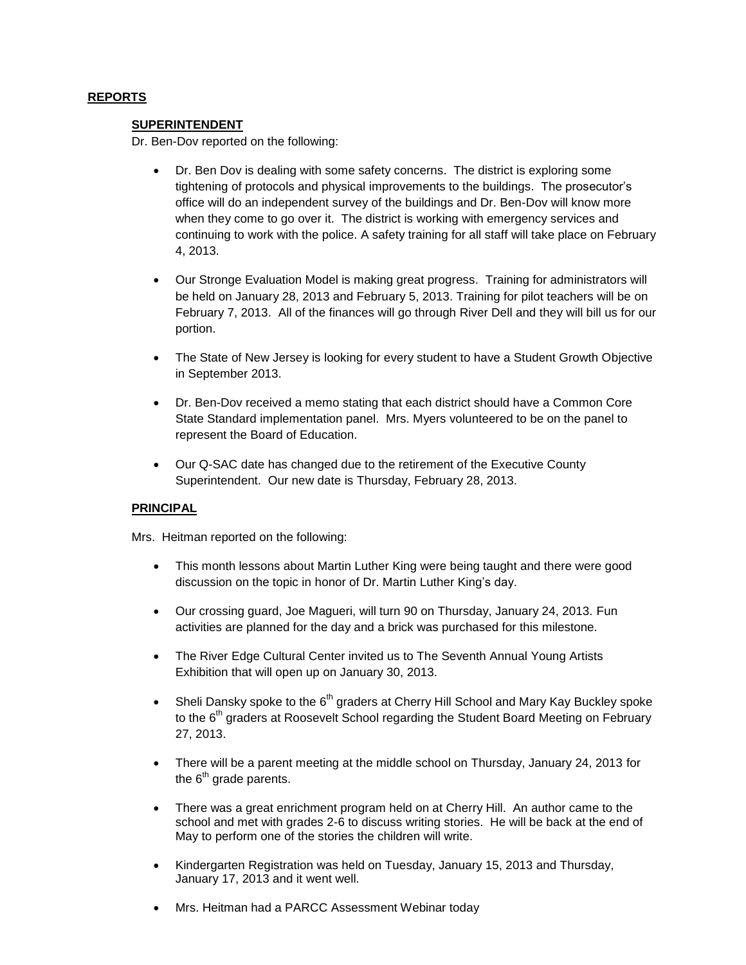# **REPORTS**

### **SUPERINTENDENT**

Dr. Ben-Dov reported on the following:

- Dr. Ben Dov is dealing with some safety concerns. The district is exploring some tightening of protocols and physical improvements to the buildings. The prosecutor's office will do an independent survey of the buildings and Dr. Ben-Dov will know more when they come to go over it. The district is working with emergency services and continuing to work with the police. A safety training for all staff will take place on February 4, 2013.
- Our Stronge Evaluation Model is making great progress. Training for administrators will be held on January 28, 2013 and February 5, 2013. Training for pilot teachers will be on February 7, 2013. All of the finances will go through River Dell and they will bill us for our portion.
- The State of New Jersey is looking for every student to have a Student Growth Objective in September 2013.
- Dr. Ben-Dov received a memo stating that each district should have a Common Core State Standard implementation panel. Mrs. Myers volunteered to be on the panel to represent the Board of Education.
- Our Q-SAC date has changed due to the retirement of the Executive County Superintendent. Our new date is Thursday, February 28, 2013.

# **PRINCIPAL**

Mrs. Heitman reported on the following:

- This month lessons about Martin Luther King were being taught and there were good discussion on the topic in honor of Dr. Martin Luther King's day.
- Our crossing guard, Joe Magueri, will turn 90 on Thursday, January 24, 2013. Fun activities are planned for the day and a brick was purchased for this milestone.
- The River Edge Cultural Center invited us to The Seventh Annual Young Artists Exhibition that will open up on January 30, 2013.
- Sheli Dansky spoke to the  $6<sup>th</sup>$  graders at Cherry Hill School and Mary Kay Buckley spoke to the 6<sup>th</sup> graders at Roosevelt School regarding the Student Board Meeting on February 27, 2013.
- There will be a parent meeting at the middle school on Thursday, January 24, 2013 for the  $6<sup>th</sup>$  grade parents.
- There was a great enrichment program held on at Cherry Hill. An author came to the school and met with grades 2-6 to discuss writing stories. He will be back at the end of May to perform one of the stories the children will write.
- Kindergarten Registration was held on Tuesday, January 15, 2013 and Thursday, January 17, 2013 and it went well.
- Mrs. Heitman had a PARCC Assessment Webinar today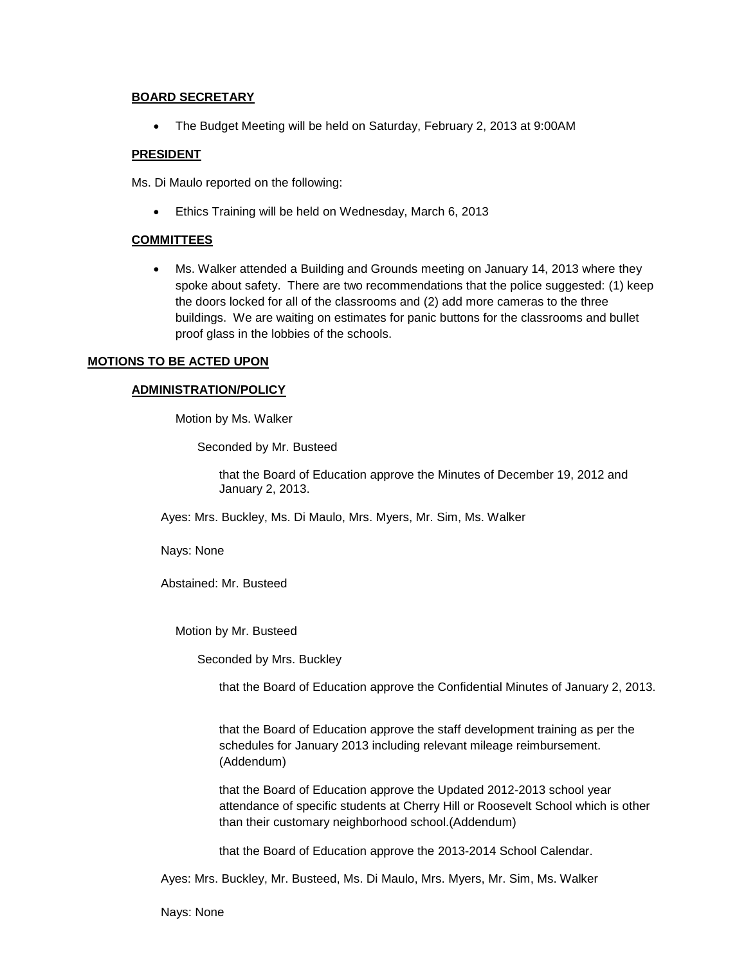# **BOARD SECRETARY**

The Budget Meeting will be held on Saturday, February 2, 2013 at 9:00AM

# **PRESIDENT**

Ms. Di Maulo reported on the following:

Ethics Training will be held on Wednesday, March 6, 2013

### **COMMITTEES**

 Ms. Walker attended a Building and Grounds meeting on January 14, 2013 where they spoke about safety. There are two recommendations that the police suggested: (1) keep the doors locked for all of the classrooms and (2) add more cameras to the three buildings. We are waiting on estimates for panic buttons for the classrooms and bullet proof glass in the lobbies of the schools.

# **MOTIONS TO BE ACTED UPON**

# **ADMINISTRATION/POLICY**

Motion by Ms. Walker

Seconded by Mr. Busteed

that the Board of Education approve the Minutes of December 19, 2012 and January 2, 2013.

Ayes: Mrs. Buckley, Ms. Di Maulo, Mrs. Myers, Mr. Sim, Ms. Walker

Nays: None

Abstained: Mr. Busteed

Motion by Mr. Busteed

Seconded by Mrs. Buckley

that the Board of Education approve the Confidential Minutes of January 2, 2013.

that the Board of Education approve the staff development training as per the schedules for January 2013 including relevant mileage reimbursement. (Addendum)

that the Board of Education approve the Updated 2012-2013 school year attendance of specific students at Cherry Hill or Roosevelt School which is other than their customary neighborhood school.(Addendum)

that the Board of Education approve the 2013-2014 School Calendar.

Ayes: Mrs. Buckley, Mr. Busteed, Ms. Di Maulo, Mrs. Myers, Mr. Sim, Ms. Walker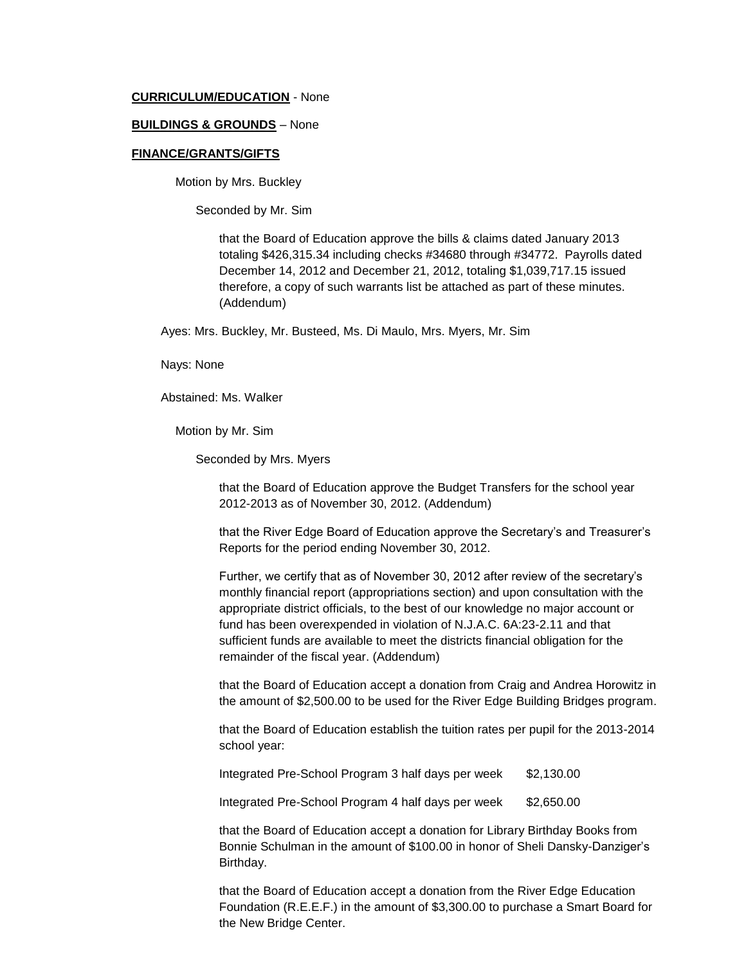#### **CURRICULUM/EDUCATION** - None

#### **BUILDINGS & GROUNDS** – None

#### **FINANCE/GRANTS/GIFTS**

Motion by Mrs. Buckley

Seconded by Mr. Sim

that the Board of Education approve the bills & claims dated January 2013 totaling \$426,315.34 including checks #34680 through #34772. Payrolls dated December 14, 2012 and December 21, 2012, totaling \$1,039,717.15 issued therefore, a copy of such warrants list be attached as part of these minutes. (Addendum)

Ayes: Mrs. Buckley, Mr. Busteed, Ms. Di Maulo, Mrs. Myers, Mr. Sim

Nays: None

Abstained: Ms. Walker

Motion by Mr. Sim

Seconded by Mrs. Myers

that the Board of Education approve the Budget Transfers for the school year 2012-2013 as of November 30, 2012. (Addendum)

that the River Edge Board of Education approve the Secretary's and Treasurer's Reports for the period ending November 30, 2012.

Further, we certify that as of November 30, 2012 after review of the secretary's monthly financial report (appropriations section) and upon consultation with the appropriate district officials, to the best of our knowledge no major account or fund has been overexpended in violation of N.J.A.C. 6A:23-2.11 and that sufficient funds are available to meet the districts financial obligation for the remainder of the fiscal year. (Addendum)

that the Board of Education accept a donation from Craig and Andrea Horowitz in the amount of \$2,500.00 to be used for the River Edge Building Bridges program.

that the Board of Education establish the tuition rates per pupil for the 2013-2014 school year:

Integrated Pre-School Program 3 half days per week \$2,130.00

Integrated Pre-School Program 4 half days per week \$2,650.00

that the Board of Education accept a donation for Library Birthday Books from Bonnie Schulman in the amount of \$100.00 in honor of Sheli Dansky-Danziger's Birthday.

that the Board of Education accept a donation from the River Edge Education Foundation (R.E.E.F.) in the amount of \$3,300.00 to purchase a Smart Board for the New Bridge Center.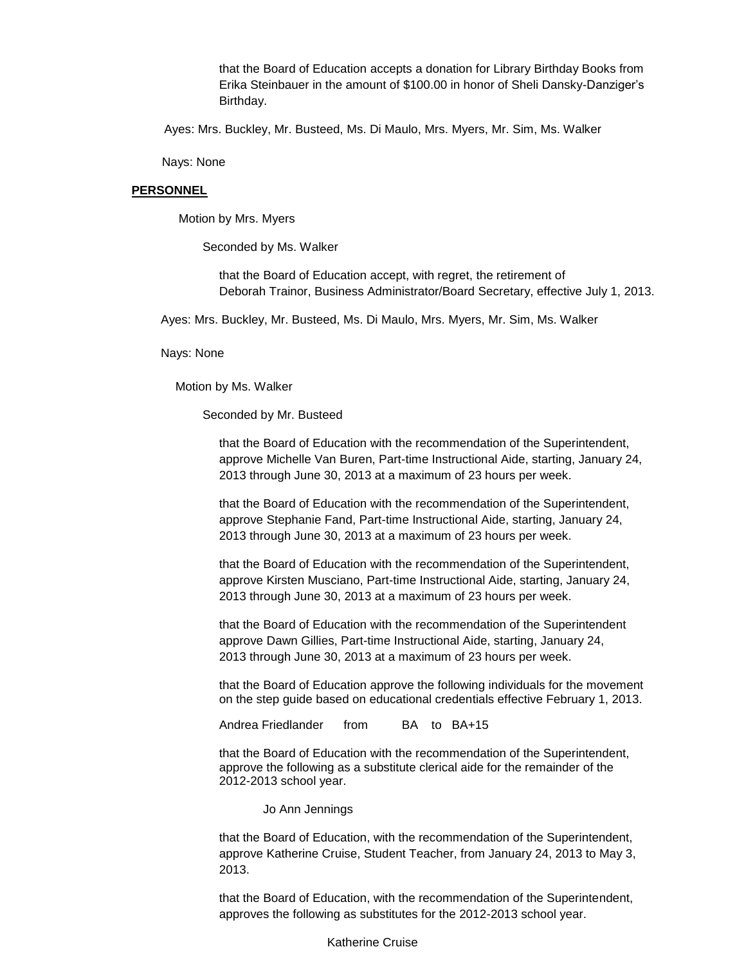that the Board of Education accepts a donation for Library Birthday Books from Erika Steinbauer in the amount of \$100.00 in honor of Sheli Dansky-Danziger's Birthday.

Ayes: Mrs. Buckley, Mr. Busteed, Ms. Di Maulo, Mrs. Myers, Mr. Sim, Ms. Walker

Nays: None

#### **PERSONNEL**

Motion by Mrs. Myers

Seconded by Ms. Walker

that the Board of Education accept, with regret, the retirement of Deborah Trainor, Business Administrator/Board Secretary, effective July 1, 2013.

Ayes: Mrs. Buckley, Mr. Busteed, Ms. Di Maulo, Mrs. Myers, Mr. Sim, Ms. Walker

Nays: None

Motion by Ms. Walker

Seconded by Mr. Busteed

that the Board of Education with the recommendation of the Superintendent, approve Michelle Van Buren, Part-time Instructional Aide, starting, January 24, 2013 through June 30, 2013 at a maximum of 23 hours per week.

that the Board of Education with the recommendation of the Superintendent, approve Stephanie Fand, Part-time Instructional Aide, starting, January 24, 2013 through June 30, 2013 at a maximum of 23 hours per week.

that the Board of Education with the recommendation of the Superintendent, approve Kirsten Musciano, Part-time Instructional Aide, starting, January 24, 2013 through June 30, 2013 at a maximum of 23 hours per week.

that the Board of Education with the recommendation of the Superintendent approve Dawn Gillies, Part-time Instructional Aide, starting, January 24, 2013 through June 30, 2013 at a maximum of 23 hours per week.

that the Board of Education approve the following individuals for the movement on the step guide based on educational credentials effective February 1, 2013.

Andrea Friedlander from BA to BA+15

that the Board of Education with the recommendation of the Superintendent, approve the following as a substitute clerical aide for the remainder of the 2012-2013 school year.

Jo Ann Jennings

that the Board of Education, with the recommendation of the Superintendent, approve Katherine Cruise, Student Teacher, from January 24, 2013 to May 3, 2013.

that the Board of Education, with the recommendation of the Superintendent, approves the following as substitutes for the 2012-2013 school year.

Katherine Cruise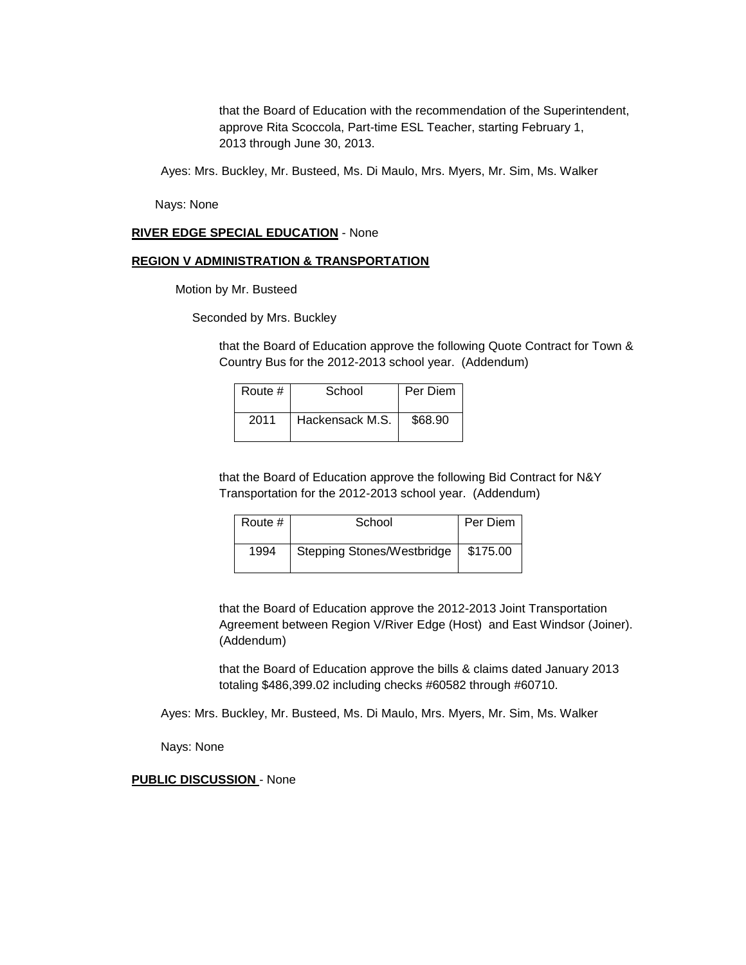that the Board of Education with the recommendation of the Superintendent, approve Rita Scoccola, Part-time ESL Teacher, starting February 1, 2013 through June 30, 2013.

Ayes: Mrs. Buckley, Mr. Busteed, Ms. Di Maulo, Mrs. Myers, Mr. Sim, Ms. Walker

Nays: None

#### **RIVER EDGE SPECIAL EDUCATION** - None

### **REGION V ADMINISTRATION & TRANSPORTATION**

Motion by Mr. Busteed

Seconded by Mrs. Buckley

that the Board of Education approve the following Quote Contract for Town & Country Bus for the 2012-2013 school year. (Addendum)

| Route # | School          | Per Diem |
|---------|-----------------|----------|
| 2011    | Hackensack M.S. | \$68.90  |

that the Board of Education approve the following Bid Contract for N&Y Transportation for the 2012-2013 school year. (Addendum)

| Route # | School                            | Per Diem |
|---------|-----------------------------------|----------|
| 1994    | <b>Stepping Stones/Westbridge</b> | \$175.00 |

that the Board of Education approve the 2012-2013 Joint Transportation Agreement between Region V/River Edge (Host) and East Windsor (Joiner). (Addendum)

that the Board of Education approve the bills & claims dated January 2013 totaling \$486,399.02 including checks #60582 through #60710.

Ayes: Mrs. Buckley, Mr. Busteed, Ms. Di Maulo, Mrs. Myers, Mr. Sim, Ms. Walker

Nays: None

#### **PUBLIC DISCUSSION** - None